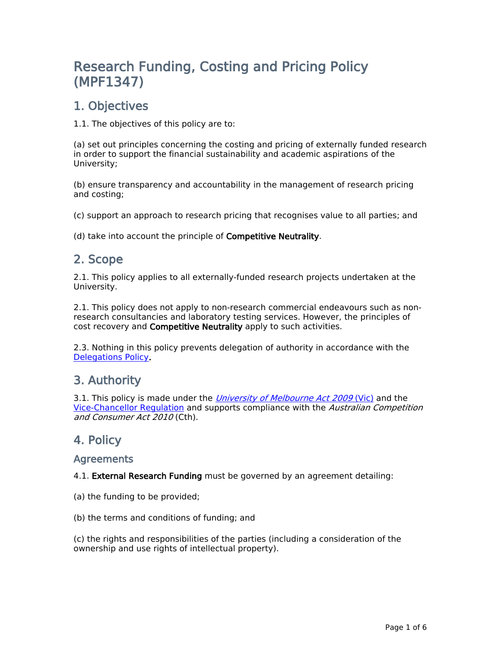# **Research Funding, Costing and Pricing Policy (MPF1347)**

## **1. Objectives**

1.1. The objectives of this policy are to:

(a) set out principles concerning the costing and pricing of externally funded research in order to support the financial sustainability and academic aspirations of the University;

(b) ensure transparency and accountability in the management of research pricing and costing;

(c) support an approach to research pricing that recognises value to all parties; and

(d) take into account the principle of **Competitive Neutrality**.

## **2. Scope**

2.1. This policy applies to all externally-funded research projects undertaken at the University.

2.1. This policy does not apply to non-research commercial endeavours such as nonresearch consultancies and laboratory testing services. However, the principles of cost recovery and **Competitive Neutrality** apply to such activities.

2.3. Nothing in this policy prevents delegation of authority in accordance with the [Delegations](file:/usr/local/tomcat/MPF1301) [Policy](file:/usr/local/tomcat/MPF1301)**.**

### **3. Authority**

3.1. This policy [i](https://about.unimelb.edu.au/strategy/governance/regulatory-framework/legislative-framework)s made under the *[University](https://www.legislation.vic.gov.au/in-force/acts/university-melbourne-act-2009/007) [of](https://www.legislation.vic.gov.au/in-force/acts/university-melbourne-act-2009/007) [Melbourne](https://www.legislation.vic.gov.au/in-force/acts/university-melbourne-act-2009/007) [Act](https://www.legislation.vic.gov.au/in-force/acts/university-melbourne-act-2009/007) [2009](https://www.legislation.vic.gov.au/in-force/acts/university-melbourne-act-2009/007)* [\(Vic\)](https://www.legislation.vic.gov.au/in-force/acts/university-melbourne-act-2009/007) and the [Vice-Chancellor](https://about.unimelb.edu.au/strategy/governance/regulatory-framework/legislative-framework) [Regulation](https://about.unimelb.edu.au/strategy/governance/regulatory-framework/legislative-framework) and supports compliance with the *Australian Competition and Consumer Act 2010* (Cth).

### **4. Policy**

**Agreements**

4.1. **External Research Funding** must be governed by an agreement detailing:

(a) the funding to be provided;

(b) the terms and conditions of funding; and

(c) the rights and responsibilities of the parties (including a consideration of the ownership and use rights of intellectual property).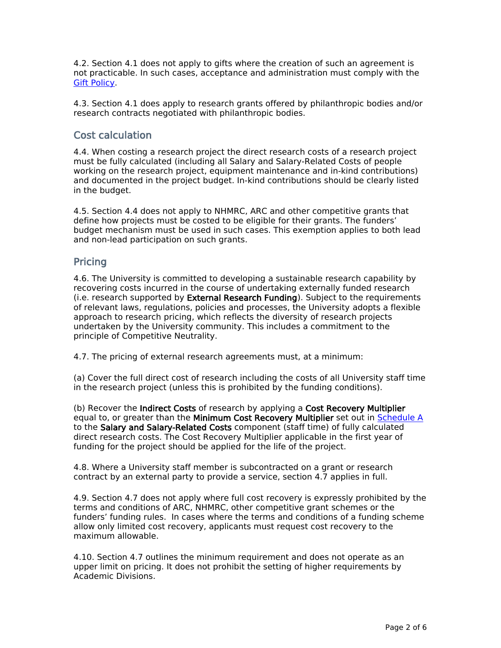4.2. Section 4.1 does not apply to gifts where the creation of such an agreement is not practicable. In such cases, acceptance and administration must comply with the [Gift](file:/usr/local/tomcat/MPF1348) [Policy](file:/usr/local/tomcat/MPF1348).

4.3. Section 4.1 does apply to research grants offered by philanthropic bodies and/or research contracts negotiated with philanthropic bodies.

#### **Cost calculation**

4.4. When costing a research project the direct research costs of a research project must be fully calculated (including all Salary and Salary-Related Costs of people working on the research project, equipment maintenance and in-kind contributions) and documented in the project budget. In-kind contributions should be clearly listed in the budget.

4.5. Section 4.4 does not apply to NHMRC, ARC and other competitive grants that define how projects must be costed to be eligible for their grants. The funders' budget mechanism must be used in such cases. This exemption applies to both lead and non-lead participation on such grants.

#### **Pricing**

4.6. The University is committed to developing a sustainable research capability by recovering costs incurred in the course of undertaking externally funded research (i.e. research supported by **External Research Funding**). Subject to the requirements of relevant laws, regulations, policies and processes, the University adopts a flexible approach to research pricing, which reflects the diversity of research projects undertaken by the University community. This includes a commitment to the principle of Competitive Neutrality.

4.7. The pricing of external research agreements must, at a minimum:

(a) Cover the full direct cost of research including the costs of all University staff time in the research project (unless this is prohibited by the funding conditions).

(b) Recover the **Indirect Costs** of research by applying a **Cost Recovery Multiplier** equal to, or greater than the **Minimum Cost Recovery Multiplier** set out in [Schedule](https://staff.unimelb.edu.au/legal-audit-records-policies/policy-process/policy/policy-documents/Schedule-A-Cost-Recovery-Multiplier-MPF1347.pdf) [A](https://staff.unimelb.edu.au/legal-audit-records-policies/policy-process/policy/policy-documents/Schedule-A-Cost-Recovery-Multiplier-MPF1347.pdf) to the **Salary and Salary-Related Costs** component (staff time) of fully calculated direct research costs. The Cost Recovery Multiplier applicable in the first year of funding for the project should be applied for the life of the project.

4.8. Where a University staff member is subcontracted on a grant or research contract by an external party to provide a service, section 4.7 applies in full.

4.9. Section 4.7 does not apply where full cost recovery is expressly prohibited by the terms and conditions of ARC, NHMRC, other competitive grant schemes or the funders' funding rules. In cases where the terms and conditions of a funding scheme allow only limited cost recovery, applicants must request cost recovery to the maximum allowable.

4.10. Section 4.7 outlines the minimum requirement and does not operate as an upper limit on pricing. It does not prohibit the setting of higher requirements by Academic Divisions.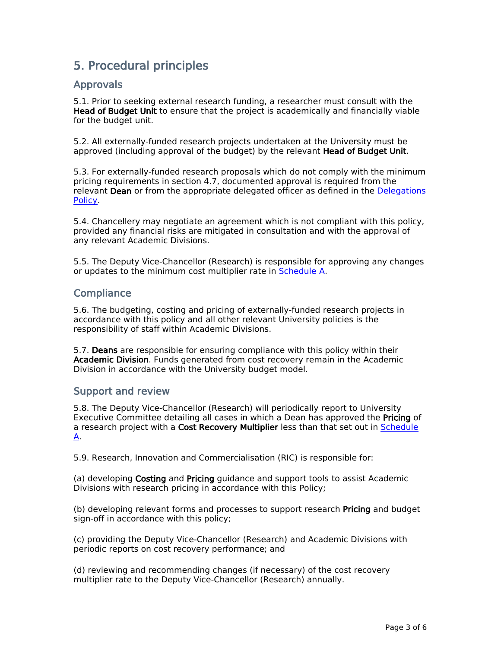## **5. Procedural principles**

#### **Approvals**

5.1. Prior to seeking external research funding, a researcher must consult with the **Head of Budget Unit** to ensure that the project is academically and financially viable for the budget unit.

5.2. All externally-funded research projects undertaken at the University must be approved (including approval of the budget) by the relevant **Head of Budget Unit**.

5.3. For externally-funded research proposals which do not comply with the minimum pricing requirements in section 4.7, documented approval is required from the relevant **Dean** or from the appropriate delegated officer as defined in the [Delegations](file:/usr/local/tomcat/MPF1301) [Policy](file:/usr/local/tomcat/MPF1301).

5.4. Chancellery may negotiate an agreement which is not compliant with this policy, provided any financial risks are mitigated in consultation and with the approval of any relevant Academic Divisions.

5.5. The Deputy Vice-Chancellor (Research) is responsible for approving any changes or updates to the minimum cost multiplier rate in [Schedule](https://staff.unimelb.edu.au/legal-audit-records-policies/policy-process/policy/policy-documents/Schedule-A-Cost-Recovery-Multiplier-MPF1347.pdf) [A](https://staff.unimelb.edu.au/legal-audit-records-policies/policy-process/policy/policy-documents/Schedule-A-Cost-Recovery-Multiplier-MPF1347.pdf).

#### **Compliance**

5.6. The budgeting, costing and pricing of externally-funded research projects in accordance with this policy and all other relevant University policies is the responsibility of staff within Academic Divisions.

5.7. **Deans** are responsible for ensuring compliance with this policy within their **Academic Division**. Funds generated from cost recovery remain in the Academic Division in accordance with the University budget model.

#### **Support and review**

5.8. The Deputy Vice-Chancellor (Research) will periodically report to University Executive Committee detailing all cases in which a Dean has approved the **Pricing** of a research project with a **Cost Recovery Multiplier** less than that set out in [Schedule](https://staff.unimelb.edu.au/legal-audit-records-policies/policy-process/policy/policy-documents/Schedule-A-Cost-Recovery-Multiplier-MPF1347.pdf) [A.](https://staff.unimelb.edu.au/legal-audit-records-policies/policy-process/policy/policy-documents/Schedule-A-Cost-Recovery-Multiplier-MPF1347.pdf)

5.9. Research, Innovation and Commercialisation (RIC) is responsible for:

(a) developing **Costing** and **Pricing** guidance and support tools to assist Academic Divisions with research pricing in accordance with this Policy;

(b) developing relevant forms and processes to support research **Pricing** and budget sign-off in accordance with this policy;

(c) providing the Deputy Vice-Chancellor (Research) and Academic Divisions with periodic reports on cost recovery performance; and

(d) reviewing and recommending changes (if necessary) of the cost recovery multiplier rate to the Deputy Vice-Chancellor (Research) annually.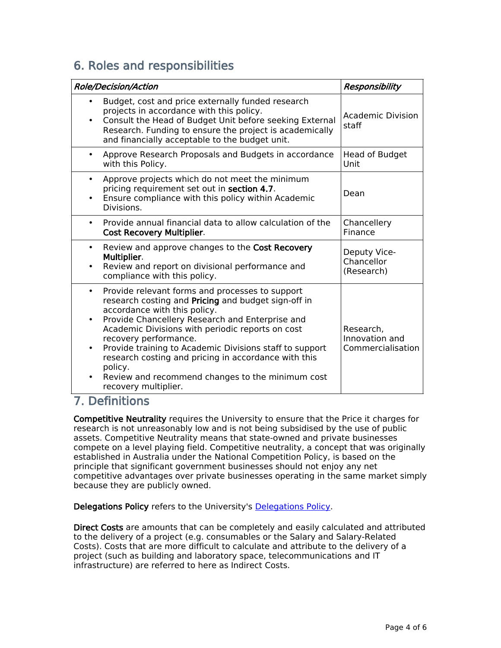## **6. Roles and responsibilities**

|                                     | <b>Role/Decision/Action</b>                                                                                                                                                                                                                                                                                                                                                                                                                                                      | Responsibility                                   |
|-------------------------------------|----------------------------------------------------------------------------------------------------------------------------------------------------------------------------------------------------------------------------------------------------------------------------------------------------------------------------------------------------------------------------------------------------------------------------------------------------------------------------------|--------------------------------------------------|
| $\bullet$                           | Budget, cost and price externally funded research<br>projects in accordance with this policy.<br>Consult the Head of Budget Unit before seeking External<br>Research. Funding to ensure the project is academically<br>and financially acceptable to the budget unit.                                                                                                                                                                                                            | Academic Division<br>staff                       |
|                                     | Approve Research Proposals and Budgets in accordance<br>with this Policy.                                                                                                                                                                                                                                                                                                                                                                                                        | <b>Head of Budget</b><br>Unit                    |
| $\bullet$<br>$\bullet$              | Approve projects which do not meet the minimum<br>pricing requirement set out in section 4.7.<br>Ensure compliance with this policy within Academic<br>Divisions.                                                                                                                                                                                                                                                                                                                | Dean                                             |
| $\bullet$                           | Provide annual financial data to allow calculation of the<br><b>Cost Recovery Multiplier.</b>                                                                                                                                                                                                                                                                                                                                                                                    | Chancellery<br>Finance                           |
| $\bullet$<br>$\bullet$              | Review and approve changes to the Cost Recovery<br>Multiplier.<br>Review and report on divisional performance and<br>compliance with this policy.                                                                                                                                                                                                                                                                                                                                | Deputy Vice-<br>Chancellor<br>(Research)         |
| $\bullet$<br>$\bullet$<br>$\bullet$ | Provide relevant forms and processes to support<br>research costing and Pricing and budget sign-off in<br>accordance with this policy.<br>Provide Chancellery Research and Enterprise and<br>Academic Divisions with periodic reports on cost<br>recovery performance.<br>Provide training to Academic Divisions staff to support<br>research costing and pricing in accordance with this<br>policy.<br>Review and recommend changes to the minimum cost<br>recovery multiplier. | Research,<br>Innovation and<br>Commercialisation |

### **7. Definitions**

**Competitive Neutrality** requires the University to ensure that the Price it charges for research is not unreasonably low and is not being subsidised by the use of public assets. Competitive Neutrality means that state-owned and private businesses compete on a level playing field. Competitive neutrality, a concept that was originally established in Australia under the National Competition Policy, is based on the principle that significant government businesses should not enjoy any net competitive advantages over private businesses operating in the same market simply because they are publicly owned.

**Delegations Policy** refers to the University's [Delegations](file:/usr/local/tomcat/MPF1301) [Policy.](file:/usr/local/tomcat/MPF1301)

**Direct Costs** are amounts that can be completely and easily calculated and attributed to the delivery of a project (e.g. consumables or the Salary and Salary-Related Costs). Costs that are more difficult tocalculate and attribute to the delivery of a project (such as building and laboratory space, telecommunications and IT infrastructure) are referred to here as Indirect Costs.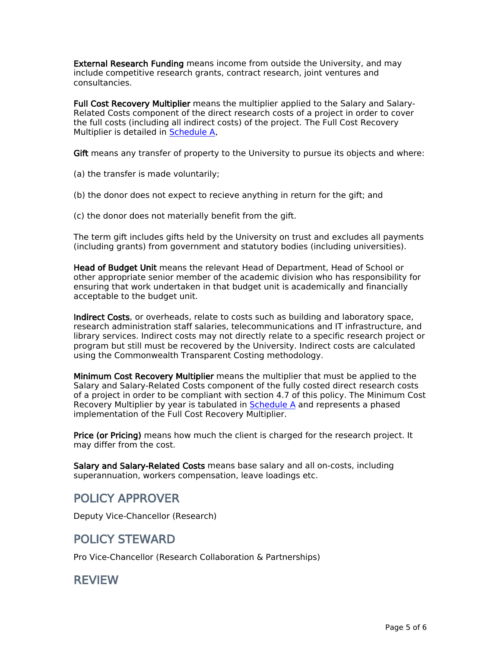**External Research Funding** means income from outside the University, and may include competitive research grants, contract research, joint ventures and consultancies.

**Full Cost Recovery Multiplier** means the multiplier applied to the Salary and Salary-Related Costs component of the direct research costs of a project in order to cover the full costs (including all indirect costs) of the project. The Full Cost Recovery Multiplier is detailed in [Schedule](https://staff.unimelb.edu.au/legal-audit-records-policies/policy-process/policy/policy-documents/Schedule-A-Cost-Recovery-Multiplier-MPF1347.pdf) [A](https://staff.unimelb.edu.au/legal-audit-records-policies/policy-process/policy/policy-documents/Schedule-A-Cost-Recovery-Multiplier-MPF1347.pdf)**.**

**Gift** means any transfer of property to the University to pursue its objects and where:

(a) the transfer is made voluntarily;

(b) the donor does not expect to recieve anything in return for the gift; and

(c) the donor does not materially benefit from the gift.

The term gift includes gifts held by the University on trust and excludes all payments (including grants) from government and statutory bodies (including universities).

**Head of Budget Unit** means the relevant Head of Department, Head of School or other appropriate senior member of the academic division who has responsibility for ensuring that work undertaken in that budget unit is academically and financially acceptable to the budget unit.

**Indirect Costs**, or overheads, relate to costs such as building and laboratory space, research administration staff salaries, telecommunications and IT infrastructure, and library services. Indirect costs may not directly relate to a specific research project or program but still must be recovered by the University. Indirect costs are calculated using the Commonwealth Transparent Costing methodology.

**Minimum Cost Recovery Multiplier** means the multiplier that must be applied to the Salary and Salary-Related Costs component of the fully costed direct research costs of a project in order to be compliant with section 4.7 of this policy. The Minimum Cost Recovery Multiplier by year is tabulated in [Schedule](https://staff.unimelb.edu.au/legal-audit-records-policies/policy-process/policy/policy-documents/Schedule-A-Cost-Recovery-Multiplier-MPF1347.pdf) [A](https://staff.unimelb.edu.au/legal-audit-records-policies/policy-process/policy/policy-documents/Schedule-A-Cost-Recovery-Multiplier-MPF1347.pdf) and represents a phased implementation of the Full Cost Recovery Multiplier.

**Price (or Pricing)** means how much the client is charged for the research project. It may differ from the cost.

**Salary and Salary-Related Costs** means base salary and all on-costs, including superannuation, workers compensation, leave loadings etc.

### **POLICY APPROVER**

Deputy Vice-Chancellor (Research)

### **POLICY STEWARD**

Pro Vice-Chancellor (Research Collaboration & Partnerships)

### **REVIEW**